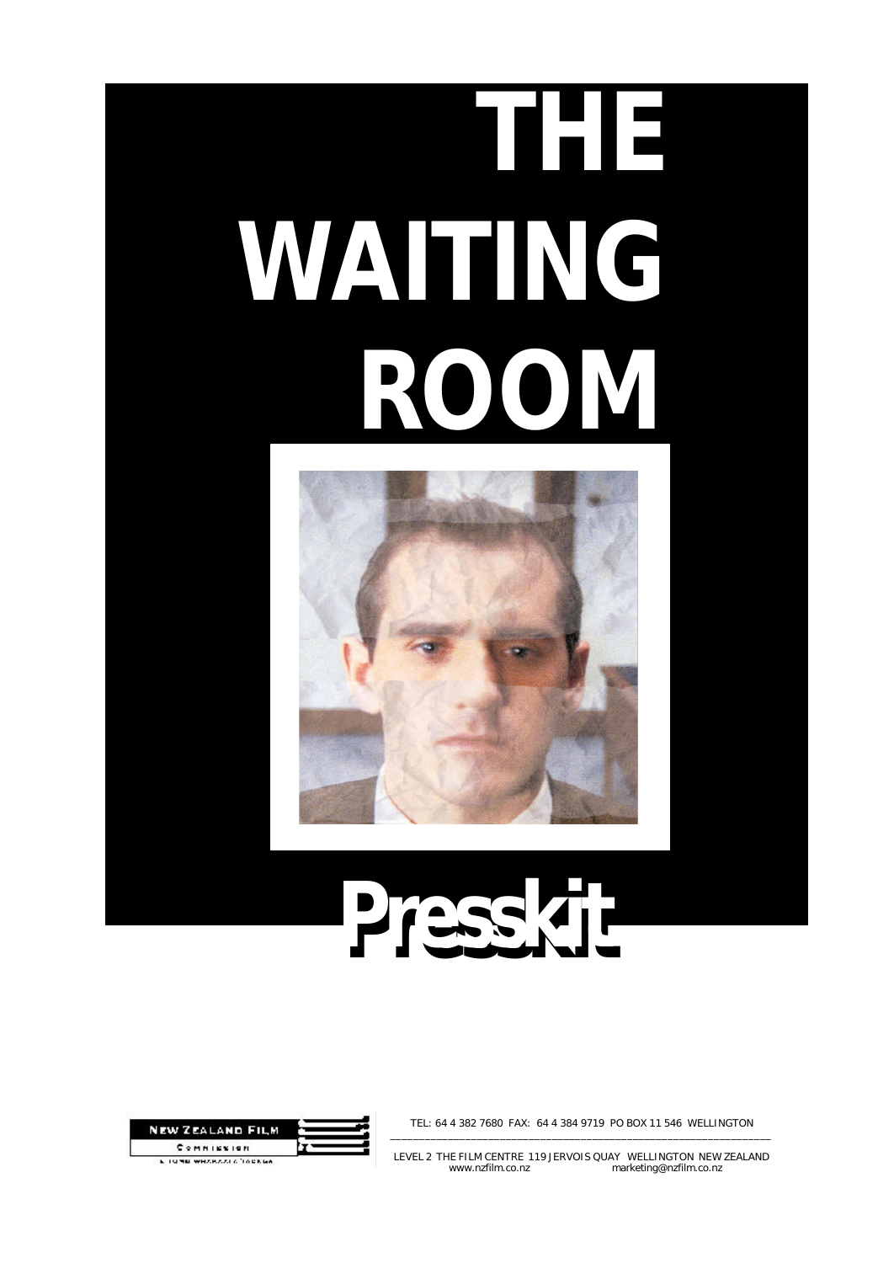# **THE WAITING ROOM**



# Presskitt



TEL: 64 4 382 7680 FAX: 64 4 384 9719 PO BOX 11 546 WELLINGTON \_\_\_\_\_\_\_\_\_\_\_\_\_\_\_\_\_\_\_\_\_\_\_\_\_\_\_\_\_\_\_\_\_\_\_\_\_\_\_\_\_\_\_\_\_\_\_\_\_\_\_\_\_\_\_\_\_\_\_\_\_\_\_\_\_\_

LEVEL 2 THE FILM CENTRE 119 JERVOIS QUAY WELLINGTON NEW ZEALAND www.nzfilm.co.nz marketing@nzfilm.co.nz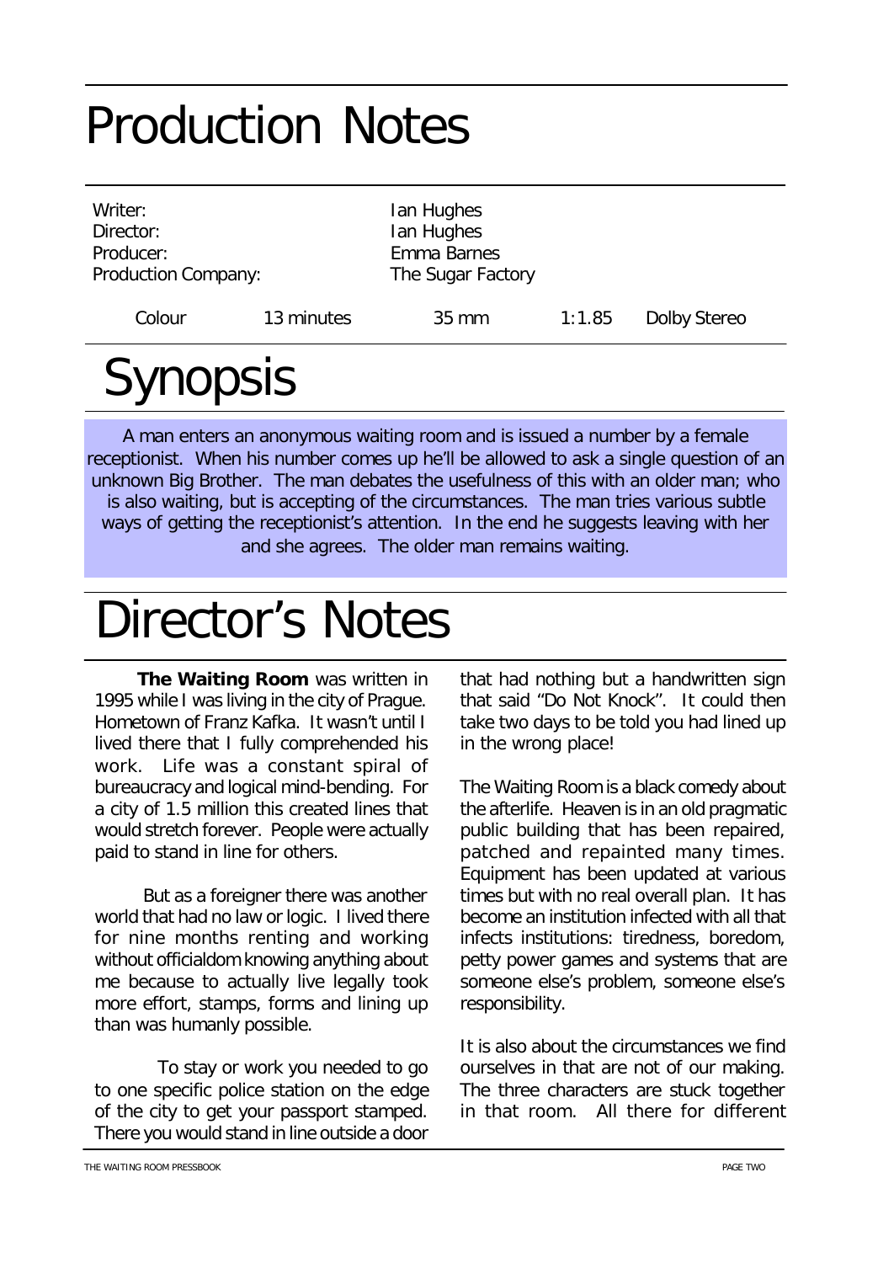#### Production Notes

| Writer:<br>Director:<br>Producer:<br><b>Production Company:</b> |            | Ian Hughes<br>Ian Hughes<br>Emma Barnes<br>The Sugar Factory |        |              |
|-----------------------------------------------------------------|------------|--------------------------------------------------------------|--------|--------------|
| Colour                                                          | 13 minutes | $35 \text{ mm}$                                              | 1:1.85 | Dolby Stereo |
|                                                                 |            |                                                              |        |              |

### Synopsis

A man enters an anonymous waiting room and is issued a number by a female receptionist. When his number comes up he'll be allowed to ask a single question of an unknown Big Brother. The man debates the usefulness of this with an older man; who is also waiting, but is accepting of the circumstances. The man tries various subtle ways of getting the receptionist's attention. In the end he suggests leaving with her and she agrees. The older man remains waiting.

#### Director's Notes

 *The Waiting Room* was written in 1995 while I was living in the city of Prague. Hometown of Franz Kafka. It wasn't until I lived there that I fully comprehended his work. Life was a constant spiral of bureaucracy and logical mind-bending. For a city of 1.5 million this created lines that would stretch forever. People were actually paid to stand in line for others.

 But as a foreigner there was another world that had no law or logic. I lived there for nine months renting and working without officialdom knowing anything about me because to actually live legally took more effort, stamps, forms and lining up than was humanly possible.

 To stay or work you needed to go to one specific police station on the edge of the city to get your passport stamped. There you would stand in line outside a door

that had nothing but a handwritten sign that said "Do Not Knock". It could then take two days to be told you had lined up in the wrong place!

*The Waiting Room* is a black comedy about the afterlife. Heaven is in an old pragmatic public building that has been repaired, patched and repainted many times. Equipment has been updated at various times but with no real overall plan. It has become an institution infected with all that infects institutions: tiredness, boredom, petty power games and systems that are someone else's problem, someone else's responsibility.

It is also about the circumstances we find ourselves in that are not of our making. The three characters are stuck together in that room. All there for different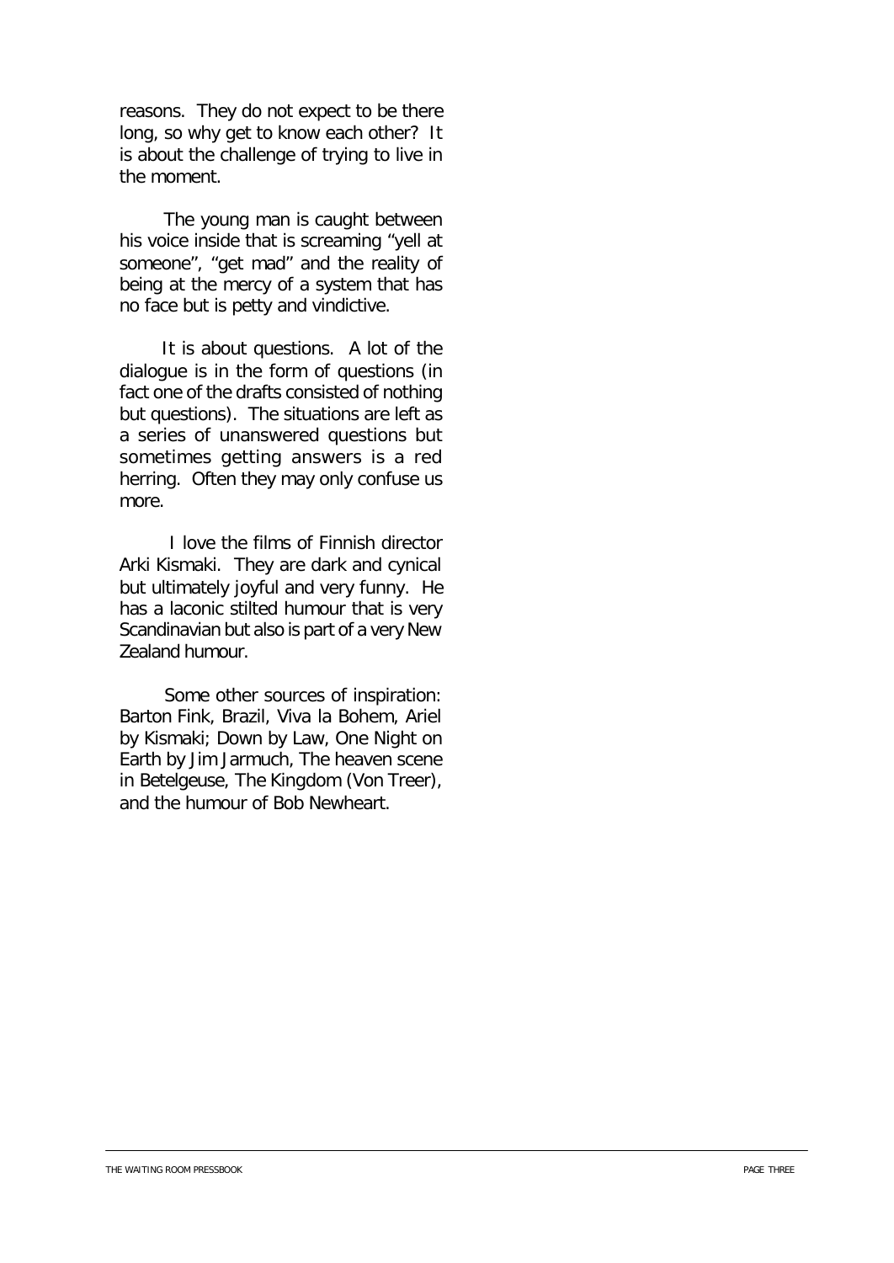reasons. They do not expect to be there long, so why get to know each other? It is about the challenge of trying to live in the moment.

 The young man is caught between his voice inside that is screaming "yell at someone", "get mad" and the reality of being at the mercy of a system that has no face but is petty and vindictive.

 It is about questions. A lot of the dialogue is in the form of questions (in fact one of the drafts consisted of nothing but questions). The situations are left as a series of unanswered questions but sometimes getting answers is a red herring. Often they may only confuse us more.

 I love the films of Finnish director Arki Kismaki. They are dark and cynical but ultimately joyful and very funny. He has a laconic stilted humour that is very Scandinavian but also is part of a very New Zealand humour.

 Some other sources of inspiration: Barton Fink, *Brazil, Viva la Bohem, Ariel* by Kismaki; Down by Law, *One Night on Earth* by Jim Jarmuch, The heaven scene in *Betelgeuse*, *The Kingdom* (Von Treer), and the humour of Bob Newheart.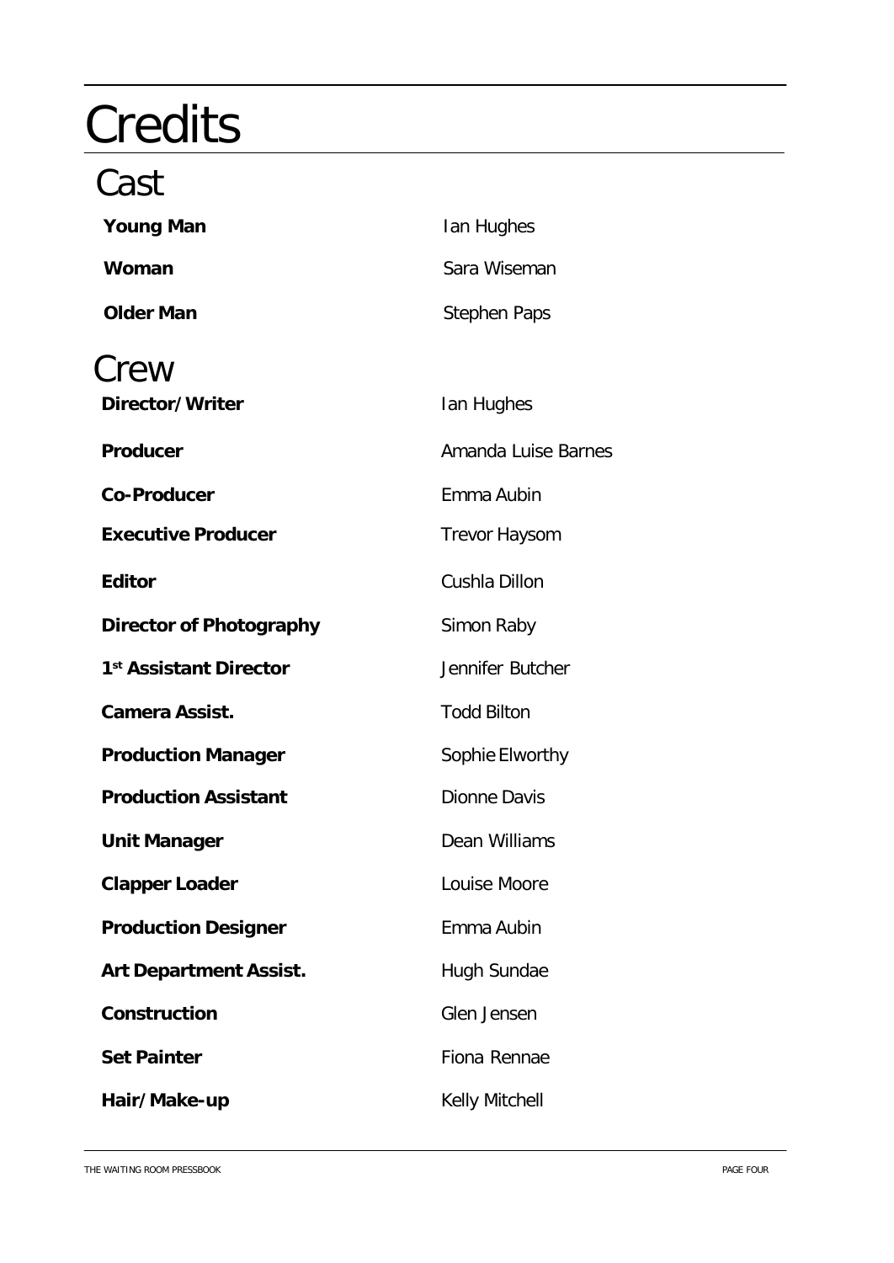## **Credits**

#### Cast

| <b>Young Man</b>                   | Ian Hughes            |
|------------------------------------|-----------------------|
| Woman                              | Sara Wiseman          |
| <b>Older Man</b>                   | <b>Stephen Paps</b>   |
| Crew                               |                       |
| Director/Writer                    | Ian Hughes            |
| Producer                           | Amanda Luise Barnes   |
| <b>Co-Producer</b>                 | Emma Aubin            |
| <b>Executive Producer</b>          | <b>Trevor Haysom</b>  |
| <b>Editor</b>                      | Cushla Dillon         |
| <b>Director of Photography</b>     | Simon Raby            |
| 1 <sup>st</sup> Assistant Director | Jennifer Butcher      |
| <b>Camera Assist.</b>              | <b>Todd Bilton</b>    |
| <b>Production Manager</b>          | Sophie Elworthy       |
| <b>Production Assistant</b>        | Dionne Davis          |
| <b>Unit Manager</b>                | Dean Williams         |
| <b>Clapper Loader</b>              | Louise Moore          |
| <b>Production Designer</b>         | Emma Aubin            |
| <b>Art Department Assist.</b>      | Hugh Sundae           |
| Construction                       | Glen Jensen           |
| <b>Set Painter</b>                 | Fiona Rennae          |
| Hair/Make-up                       | <b>Kelly Mitchell</b> |

THE WAITING ROOM PRESSBOOK **PAGE FOUR** PAGE FOUR CONTROL INTO THE WAITING ROOM PROSE FOUR